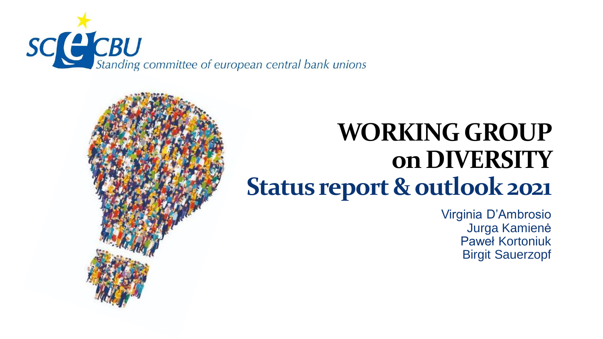

## **WORKING GROUP on DIVERSITY Status report & outlook 2021**

Virginia D'Ambrosio Jurga Kamienė Paweł Kortoniuk Birgit Sauerzopf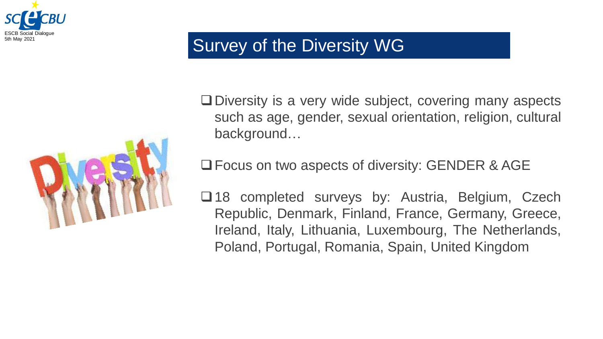

#### Survey of the Diversity WG



❑Diversity is a very wide subject, covering many aspects such as age, gender, sexual orientation, religion, cultural background…

❑Focus on two aspects of diversity: GENDER & AGE

❑18 completed surveys by: Austria, Belgium, Czech Republic, Denmark, Finland, France, Germany, Greece, Ireland, Italy, Lithuania, Luxembourg, The Netherlands, Poland, Portugal, Romania, Spain, United Kingdom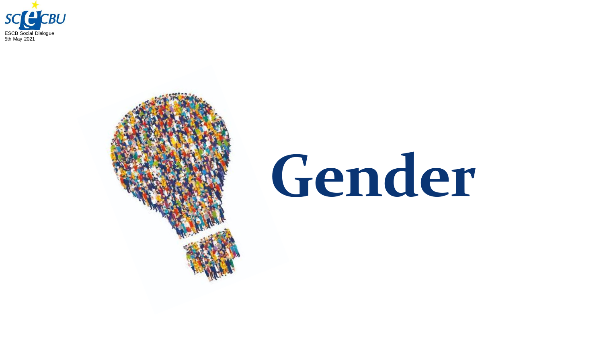



# **Gender**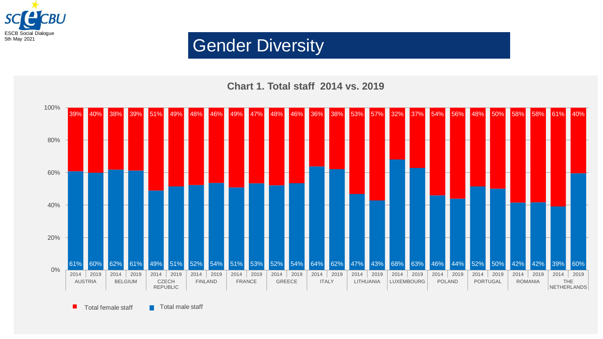

#### **Chart 1. Total staff 2014 vs. 2019**



 $\blacksquare$  Total female staff  $\blacksquare$  Total male staff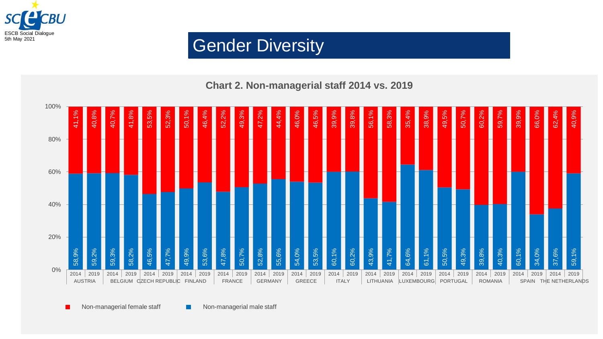

#### **Chart 2. Non-managerial staff 2014 vs. 2019**

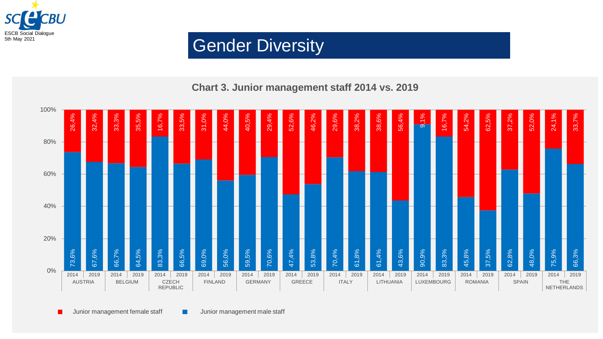

#### **Chart 3. Junior management staff 2014 vs. 2019**

| 100%  | 4%<br>26,                      | 32,4%     | 3%<br>33                       | 5%<br>35 | 16,7%                                    | 33,5% | 31,0%                          | 44,0% | 40,5%                          | 29,4% | 52,6%                  | 46,2% | 29,6%                        | 38,2% | 38,6%                     | 56,4% | 9,1%                       | 16,7% | 54,2%                   | 62,5% | 37,2%                        | 52,0% | 24,1%                                     | 33,7% |
|-------|--------------------------------|-----------|--------------------------------|----------|------------------------------------------|-------|--------------------------------|-------|--------------------------------|-------|------------------------|-------|------------------------------|-------|---------------------------|-------|----------------------------|-------|-------------------------|-------|------------------------------|-------|-------------------------------------------|-------|
| 80%   |                                |           |                                |          |                                          |       |                                |       |                                |       |                        |       |                              |       |                           |       |                            |       |                         |       |                              |       |                                           |       |
| 60%   |                                |           |                                |          |                                          |       |                                |       |                                |       |                        |       |                              |       |                           |       |                            |       |                         |       |                              |       |                                           |       |
| 40%   |                                |           |                                |          |                                          |       |                                |       |                                |       |                        |       |                              |       |                           |       |                            |       |                         |       |                              |       |                                           |       |
| 20%   |                                |           |                                |          |                                          |       |                                |       |                                |       |                        |       |                              |       |                           |       |                            |       |                         |       |                              |       |                                           |       |
| $0\%$ | 73,6%                          | ,6%<br>67 | 66,7%                          | 64,5%    | 83,3%                                    | 66,5% | 69,0%                          | 56,0% | 59,5%                          | 70,6% | 47,4%                  | 53,8% | 70,4%                        | 61,8% | 61,4%                     | 43,6% | 90,9%                      | 83,3% | 45,8%                   | 37,5% | 62,8%                        | 48,0% | 75,9%                                     | 66,3% |
|       | 2019<br>2014<br><b>AUSTRIA</b> |           | 2014<br>2019<br><b>BELGIUM</b> |          | 2014<br>2019<br><b>CZECH</b><br>REPUBLIC |       | 2014<br>2019<br><b>FINLAND</b> |       | 2019<br>2014<br><b>GERMANY</b> |       | 2014<br>2019<br>GREECE |       | 2014<br>2019<br><b>ITALY</b> |       | 2014<br>2019<br>LITHUANIA |       | 2014<br>2019<br>LUXEMBOURG |       | 2014<br>2019<br>ROMANIA |       | 2014<br>2019<br><b>SPAIN</b> |       | 2014<br>2019<br><b>THE</b><br>NETHERLANDS |       |

Junior management female staff **Interest and Aurior management male staff**  $\blacksquare$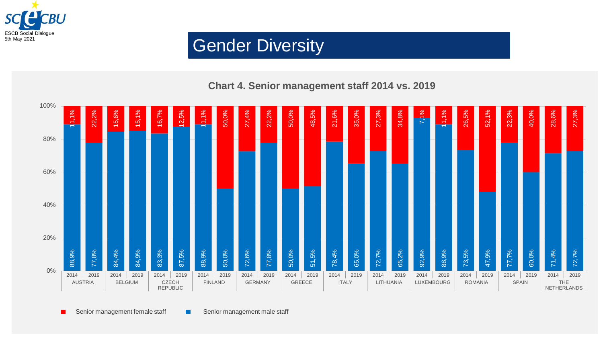

#### **Chart 4. Senior management staff 2014 vs. 2019**



Senior management female staff **Senior management male staff** п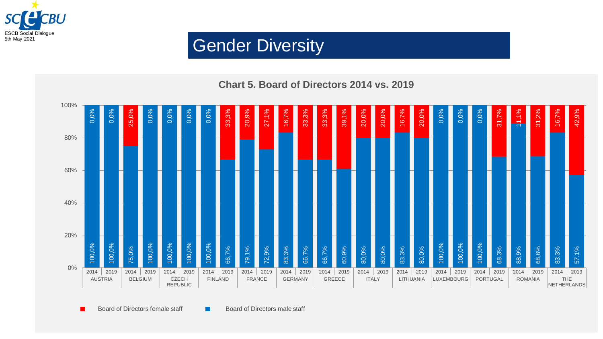

#### **Chart 5. Board of Directors 2014 vs. 2019**



Board of Directors female staff Board of Directors male staff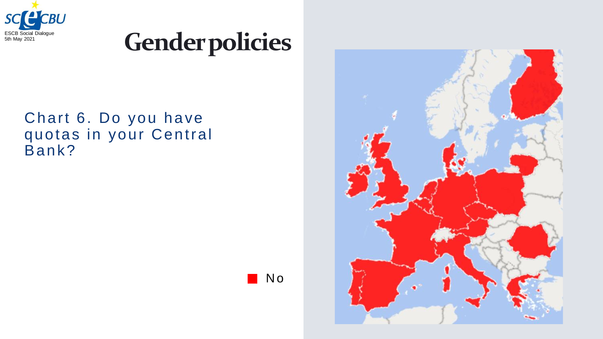

## **Genderpolicies**

#### Chart 6. Do you have quotas in your Central Bank?



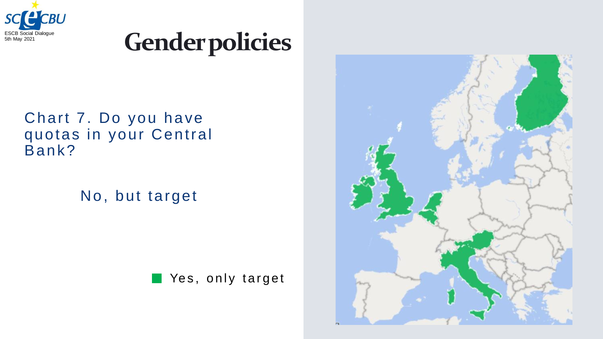

## **Gender policies**

#### Chart 7. Do you have quotas in your Central Bank?

No, but target



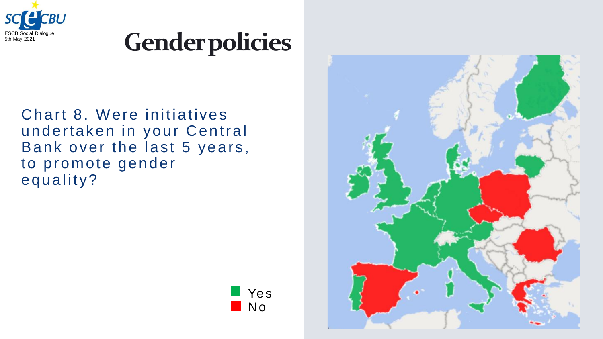

## **Gender policies**

Chart 8. Were initiatives undertaken in your Central Bank over the last 5 years, to promote gender equality?



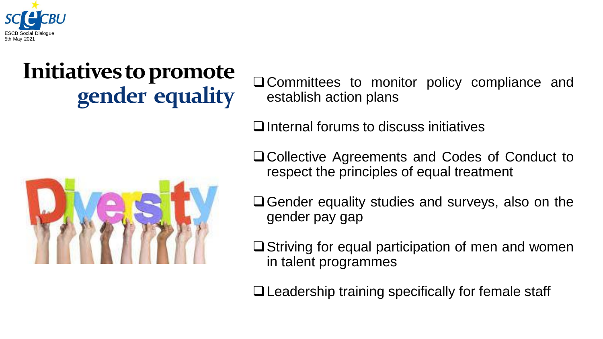

## **Initiatives to promote**



**gender equality** ❑Committees to monitor policy compliance and establish action plans

❑Internal forums to discuss initiatives

❑Collective Agreements and Codes of Conduct to respect the principles of equal treatment

❑Gender equality studies and surveys, also on the gender pay gap

❑Striving for equal participation of men and women in talent programmes

❑Leadership training specifically for female staff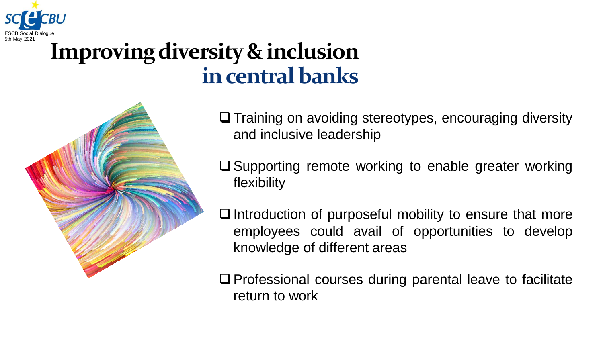

### **Improving diversity & inclusion in central banks**



❑Training on avoiding stereotypes, encouraging diversity and inclusive leadership

❑Supporting remote working to enable greater working flexibility

❑Introduction of purposeful mobility to ensure that more employees could avail of opportunities to develop knowledge of different areas

❑Professional courses during parental leave to facilitate return to work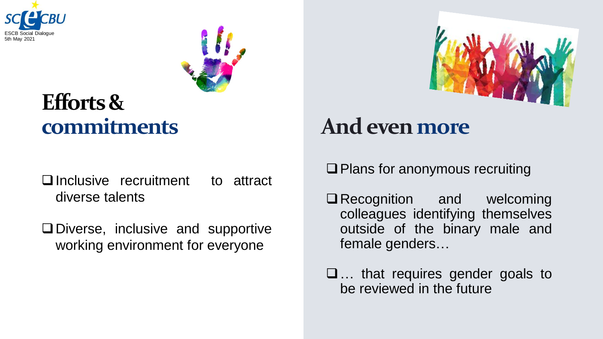



#### **Efforts & commitments**

- ❑Inclusive recruitment to attract diverse talents
- ❑Diverse, inclusive and supportive working environment for everyone



### **And evenmore**

❑Plans for anonymous recruiting

❑Recognition and welcoming colleagues identifying themselves outside of the binary male and female genders…

❑… that requires gender goals to be reviewed in the future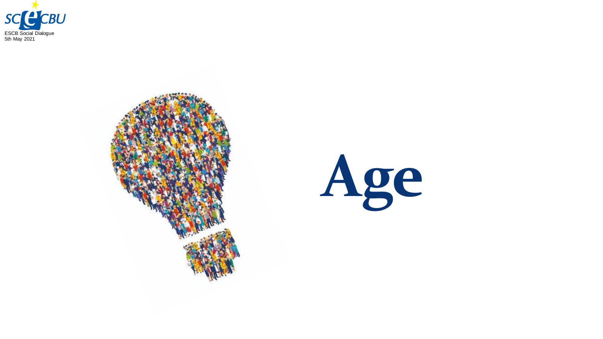



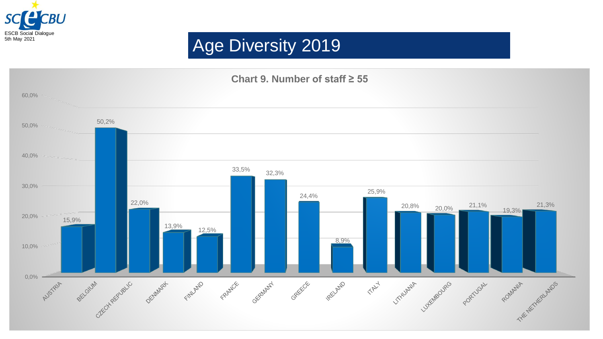

#### Age Diversity 2019

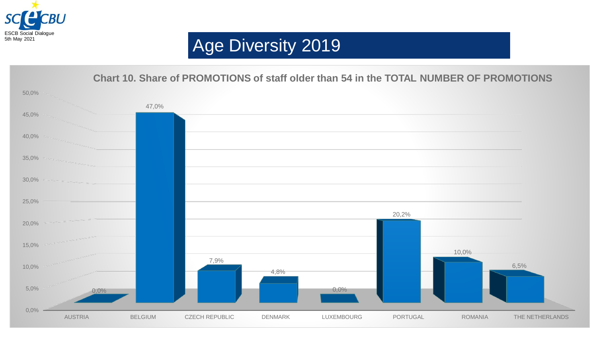

#### Age Diversity 2019

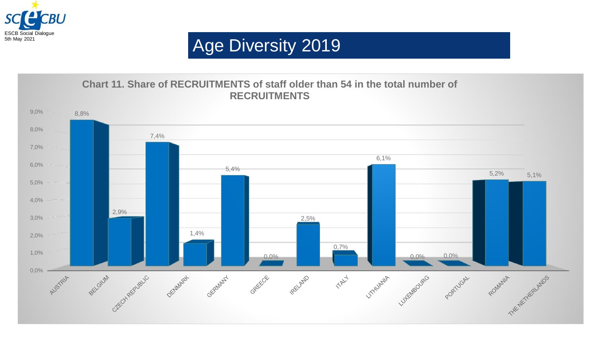

#### Age Diversity 2019

#### **Chart 11. Share of RECRUITMENTS of staff older than 54 in the total number of RECRUITMENTS**

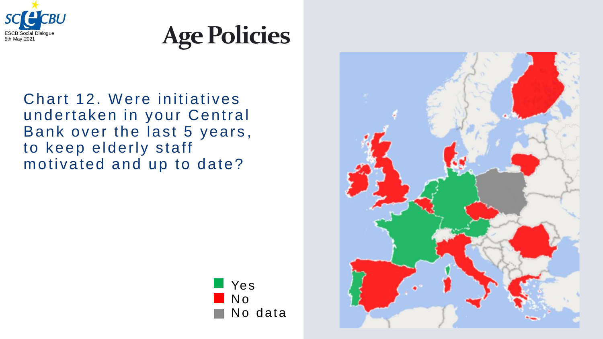



Chart 12. Were initiatives undertaken in your Central Bank over the last 5 years , to keep elderly staff motivated and up to date?



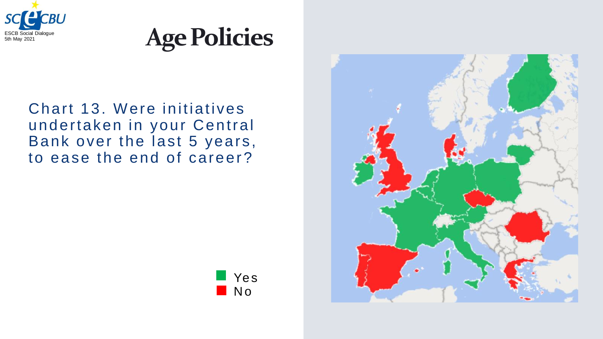



#### Chart 13. Were initiatives undertaken in your Central Bank over the last 5 years, to ease the end of career?



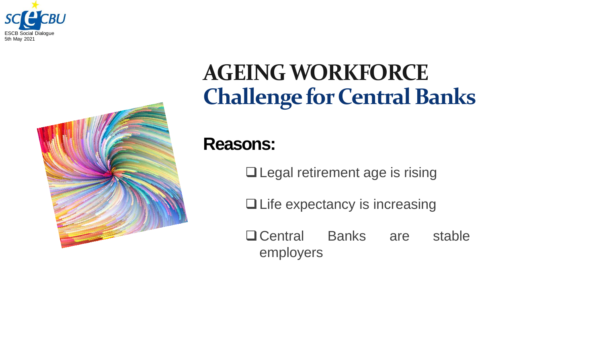



## **AGEING WORKFORCE Challenge for Central Banks**

#### **Reasons:**

❑Legal retirement age is rising

❑Life expectancy is increasing

❑Central Banks are stable employers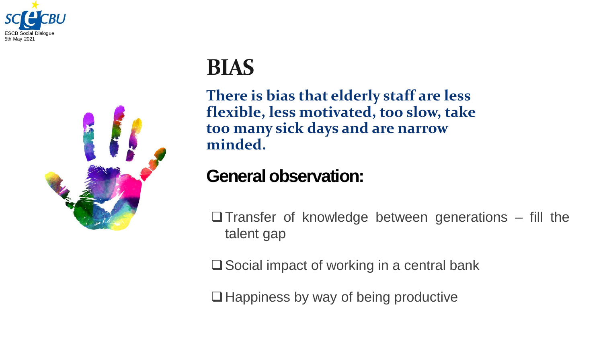



#### **BIAS**

**There is bias that elderly staff are less flexible, less motivated, too slow, take too many sick days and are narrow minded.**

#### **General observation:**

 $\Box$ Transfer of knowledge between generations – fill the talent gap

❑Social impact of working in a central bank

❑Happiness by way of being productive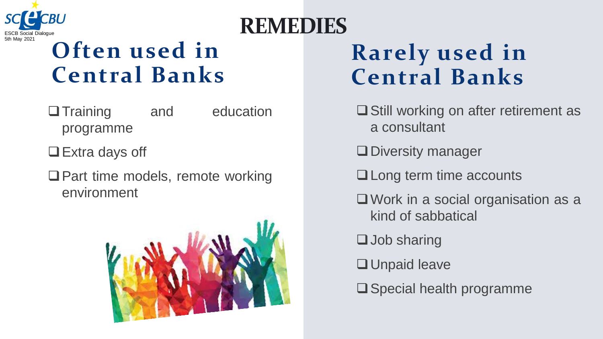

## ESCB Social Dialogue **REMEDIES**

## **Often used in Central Banks**

- □ Training and education programme
- ❑Extra days off
- ❑Part time models, remote working environment



## **Rarely used in Central Banks**

- ❑Still working on after retirement as a consultant
- ❑Diversity manager
- ❑Long term time accounts
- ❑Work in a social organisation as a kind of sabbatical
- ❑Job sharing
- ❑Unpaid leave
- ❑Special health programme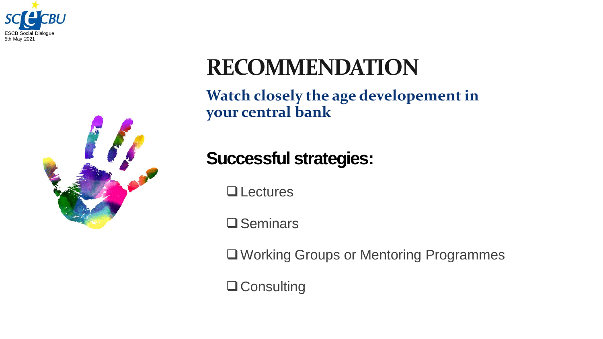



## **RECOMMENDATION**

**Watch closely the age developementin your central bank**

**Successful strategies:**

❑Lectures

❑Seminars

❑Working Groups or Mentoring Programmes

❑Consulting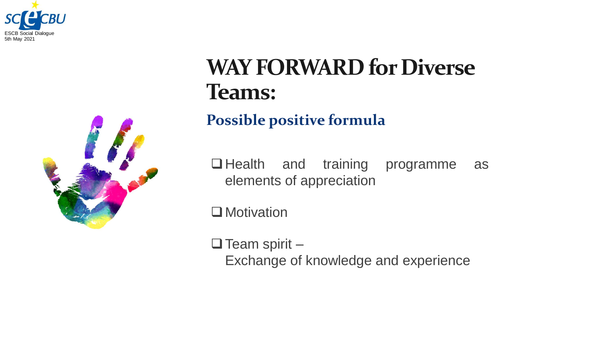



### **WAY FORWARD for Diverse Teams:**

**Possible positive formula**

❑Health and training programme as elements of appreciation

□ Motivation

 $\Box$  Team spirit – Exchange of knowledge and experience